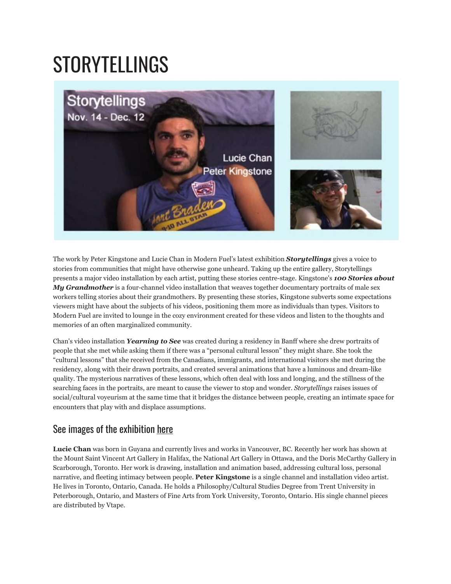## STORYTELLINGS



The work by Peter Kingstone and Lucie Chan in Modern Fuel's latest exhibition *Storytellings* gives a voice to stories from communities that might have otherwise gone unheard. Taking up the entire gallery, Storytellings presents a major video installation by each artist, putting these stories centre-stage. Kingstone's *100 Stories about My Grandmother* is a four-channel video installation that weaves together documentary portraits of male sex workers telling stories about their grandmothers. By presenting these stories, Kingstone subverts some expectations viewers might have about the subjects of his videos, positioning them more as individuals than types. Visitors to Modern Fuel are invited to lounge in the cozy environment created for these videos and listen to the thoughts and memories of an often marginalized community.

Chan's video installation *Yearning to See* was created during a residency in Banff where she drew portraits of people that she met while asking them if there was a "personal cultural lesson" they might share. She took the "cultural lessons" that she received from the Canadians, immigrants, and international visitors she met during the residency, along with their drawn portraits, and created several animations that have a luminous and dream-like quality. The mysterious narratives of these lessons, which often deal with loss and longing, and the stillness of the searching faces in the portraits, are meant to cause the viewer to stop and wonder. *Storytellings* raises issues of social/cultural voyeurism at the same time that it bridges the distance between people, creating an intimate space for encounters that play with and displace assumptions.

## See images of the exhibition [here](http://www.flickr.com/photos/modernfuel/sets/72157622987672284/)

**Lucie Chan** was born in Guyana and currently lives and works in Vancouver, BC. Recently her work has shown at the Mount Saint Vincent Art Gallery in Halifax, the National Art Gallery in Ottawa, and the Doris McCarthy Gallery in Scarborough, Toronto. Her work is drawing, installation and animation based, addressing cultural loss, personal narrative, and fleeting intimacy between people. **Peter Kingstone** is a single channel and installation video artist. He lives in Toronto, Ontario, Canada. He holds a Philosophy/Cultural Studies Degree from Trent University in Peterborough, Ontario, and Masters of Fine Arts from York University, Toronto, Ontario. His single channel pieces are distributed by Vtape.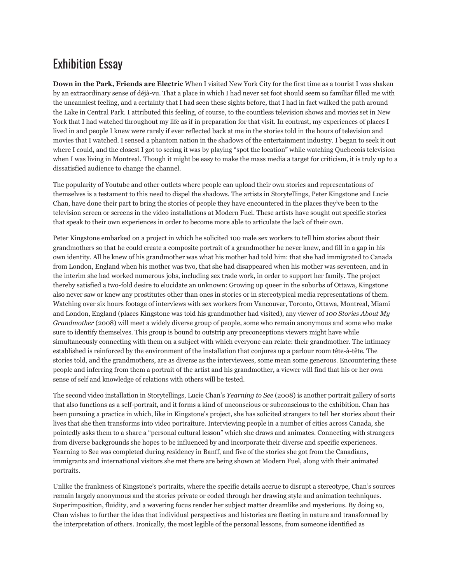## Exhibition Essay

**Down in the Park, Friends are Electric** When I visited New York City for the first time as a tourist I was shaken by an extraordinary sense of déjà-vu. That a place in which I had never set foot should seem so familiar filled me with the uncanniest feeling, and a certainty that I had seen these sights before, that I had in fact walked the path around the Lake in Central Park. I attributed this feeling, of course, to the countless television shows and movies set in New York that I had watched throughout my life as if in preparation for that visit. In contrast, my experiences of places I lived in and people I knew were rarely if ever reflected back at me in the stories told in the hours of television and movies that I watched. I sensed a phantom nation in the shadows of the entertainment industry. I began to seek it out where I could, and the closest I got to seeing it was by playing "spot the location" while watching Quebecois television when I was living in Montreal. Though it might be easy to make the mass media a target for criticism, it is truly up to a dissatisfied audience to change the channel.

The popularity of Youtube and other outlets where people can upload their own stories and representations of themselves is a testament to this need to dispel the shadows. The artists in Storytellings, Peter Kingstone and Lucie Chan, have done their part to bring the stories of people they have encountered in the places they've been to the television screen or screens in the video installations at Modern Fuel. These artists have sought out specific stories that speak to their own experiences in order to become more able to articulate the lack of their own.

Peter Kingstone embarked on a project in which he solicited 100 male sex workers to tell him stories about their grandmothers so that he could create a composite portrait of a grandmother he never knew, and fill in a gap in his own identity. All he knew of his grandmother was what his mother had told him: that she had immigrated to Canada from London, England when his mother was two, that she had disappeared when his mother was seventeen, and in the interim she had worked numerous jobs, including sex trade work, in order to support her family. The project thereby satisfied a two-fold desire to elucidate an unknown: Growing up queer in the suburbs of Ottawa, Kingstone also never saw or knew any prostitutes other than ones in stories or in stereotypical media representations of them. Watching over six hours footage of interviews with sex workers from Vancouver, Toronto, Ottawa, Montreal, Miami and London, England (places Kingstone was told his grandmother had visited), any viewer of *100 Stories About My Grandmother* (2008) will meet a widely diverse group of people, some who remain anonymous and some who make sure to identify themselves. This group is bound to outstrip any preconceptions viewers might have while simultaneously connecting with them on a subject with which everyone can relate: their grandmother. The intimacy established is reinforced by the environment of the installation that conjures up a parlour room tête-à-tête. The stories told, and the grandmothers, are as diverse as the interviewees, some mean some generous. Encountering these people and inferring from them a portrait of the artist and his grandmother, a viewer will find that his or her own sense of self and knowledge of relations with others will be tested.

The second video installation in Storytellings, Lucie Chan's *Yearning to See* (2008) is another portrait gallery of sorts that also functions as a self-portrait, and it forms a kind of unconscious or subconscious to the exhibition. Chan has been pursuing a practice in which, like in Kingstone's project, she has solicited strangers to tell her stories about their lives that she then transforms into video portraiture. Interviewing people in a number of cities across Canada, she pointedly asks them to a share a "personal cultural lesson" which she draws and animates. Connecting with strangers from diverse backgrounds she hopes to be influenced by and incorporate their diverse and specific experiences. Yearning to See was completed during residency in Banff, and five of the stories she got from the Canadians, immigrants and international visitors she met there are being shown at Modern Fuel, along with their animated portraits.

Unlike the frankness of Kingstone's portraits, where the specific details accrue to disrupt a stereotype, Chan's sources remain largely anonymous and the stories private or coded through her drawing style and animation techniques. Superimposition, fluidity, and a wavering focus render her subject matter dreamlike and mysterious. By doing so, Chan wishes to further the idea that individual perspectives and histories are fleeting in nature and transformed by the interpretation of others. Ironically, the most legible of the personal lessons, from someone identified as